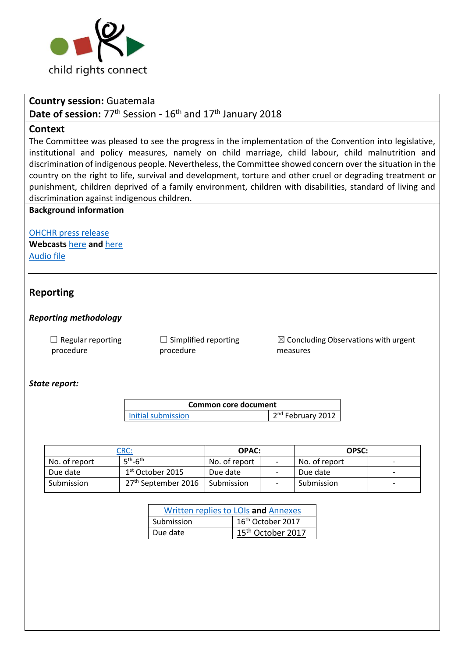

### **Country session:** Guatemala

# Date of session: 77<sup>th</sup> Session - 16<sup>th</sup> and 17<sup>th</sup> January 2018

### **Context**

The Committee was pleased to see the progress in the implementation of the Convention into legislative, institutional and policy measures, namely on child marriage, child labour, child malnutrition and discrimination of indigenous people. Nevertheless, the Committee showed concern over the situation in the country on the right to life, survival and development, torture and other cruel or degrading treatment or punishment, children deprived of a family environment, children with disabilities, standard of living and discrimination against indigenous children.

### **Background information**

[OHCHR press release](http://www.ohchr.org/EN/NewsEvents/Pages/DisplayNews.aspx?NewsID=22591&LangID=E) **Webcasts** [here](http://webtv.un.org/search/consideration-of-guatemala-2256th-meeting-77th-session-committee-on-the-rights-of-the-child/5708623583001/?term=guatemala&sort=date) **and** [here](http://webtv.un.org/search/consideration-of-guatemala-contd-2257th-meeting-77th-session-committee-on-the-rights-of-the-child/5708623591001/?term=guatemala&sort=date) [Audio file](https://conf.unog.ch/digitalrecordings/)

## **Reporting**

#### *Reporting methodology*

 $\Box$  Regular reporting procedure

 $\Box$  Simplified reporting procedure

 $\boxtimes$  Concluding Observations with urgent measures

#### *State report:*

| <b>Common core document</b> |                     |  |
|-----------------------------|---------------------|--|
| Initial submission          | $2nd$ February 2012 |  |

|               | CRC:                            | OPAC:         | OPSC:         |  |
|---------------|---------------------------------|---------------|---------------|--|
| No. of report | $5th$ -6 <sup>th</sup>          | No. of report | No. of report |  |
| Due date      | $1st$ October 2015              | Due date      | Due date      |  |
| Submission    | 27 <sup>th</sup> September 2016 | Submission    | Submission    |  |

| Written replies to LOIs and Annexes |                               |
|-------------------------------------|-------------------------------|
| Submission                          | 16 <sup>th</sup> October 2017 |
| Due date                            | 15 <sup>th</sup> October 2017 |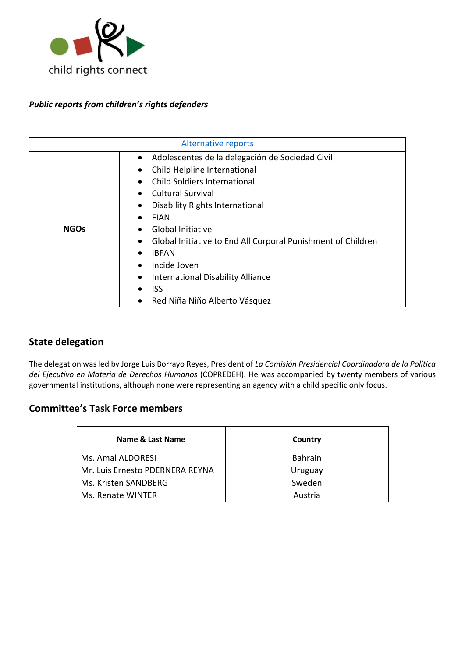

|             | Public reports from children's rights defenders              |  |
|-------------|--------------------------------------------------------------|--|
|             |                                                              |  |
|             |                                                              |  |
|             | <b>Alternative reports</b>                                   |  |
|             | Adolescentes de la delegación de Sociedad Civil              |  |
|             | Child Helpline International                                 |  |
|             | <b>Child Soldiers International</b>                          |  |
|             | <b>Cultural Survival</b>                                     |  |
|             | Disability Rights International<br>٠                         |  |
|             | <b>FIAN</b>                                                  |  |
| <b>NGOs</b> | Global Initiative                                            |  |
|             | Global Initiative to End All Corporal Punishment of Children |  |
|             | <b>IBFAN</b>                                                 |  |
|             | Incide Joven                                                 |  |
|             | International Disability Alliance                            |  |
|             | <b>ISS</b>                                                   |  |
|             | Red Niña Niño Alberto Vásquez                                |  |

# **State delegation**

The delegation was led by Jorge Luis Borrayo Reyes, President of *La Comisión Presidencial Coordinadora de la Política del Ejecutivo en Materia de Derechos Humanos* (COPREDEH). He was accompanied by twenty members of various governmental institutions, although none were representing an agency with a child specific only focus.

# **Committee's Task Force members**

| Name & Last Name                | Country        |
|---------------------------------|----------------|
| Ms. Amal ALDORESI               | <b>Bahrain</b> |
| Mr. Luis Ernesto PDERNERA REYNA | Uruguay        |
| Ms. Kristen SANDBERG            | Sweden         |
| Ms. Renate WINTER               | Austria        |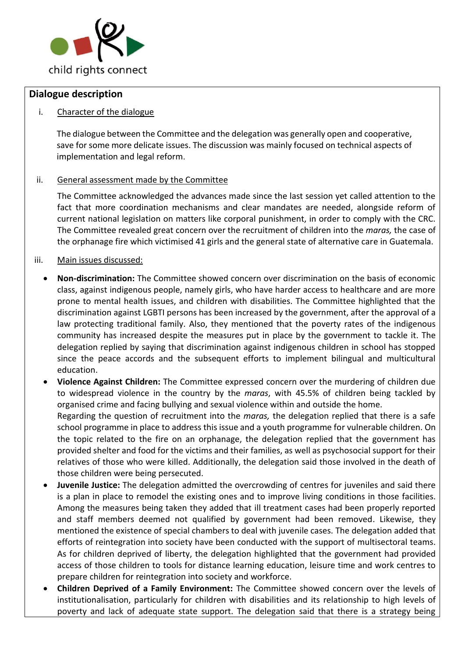

### **Dialogue description**

### i. Character of the dialogue

The dialogue between the Committee and the delegation was generally open and cooperative, save for some more delicate issues. The discussion was mainly focused on technical aspects of implementation and legal reform.

### ii. General assessment made by the Committee

The Committee acknowledged the advances made since the last session yet called attention to the fact that more coordination mechanisms and clear mandates are needed, alongside reform of current national legislation on matters like corporal punishment, in order to comply with the CRC. The Committee revealed great concern over the recruitment of children into the *maras,* the case of the orphanage fire which victimised 41 girls and the general state of alternative care in Guatemala.

### iii. Main issues discussed:

- **Non-discrimination:** The Committee showed concern over discrimination on the basis of economic class, against indigenous people, namely girls, who have harder access to healthcare and are more prone to mental health issues, and children with disabilities. The Committee highlighted that the discrimination against LGBTI persons has been increased by the government, after the approval of a law protecting traditional family. Also, they mentioned that the poverty rates of the indigenous community has increased despite the measures put in place by the government to tackle it. The delegation replied by saying that discrimination against indigenous children in school has stopped since the peace accords and the subsequent efforts to implement bilingual and multicultural education.
- **Violence Against Children:** The Committee expressed concern over the murdering of children due to widespread violence in the country by the *maras*, with 45.5% of children being tackled by organised crime and facing bullying and sexual violence within and outside the home. Regarding the question of recruitment into the *maras,* the delegation replied that there is a safe school programme in place to address this issue and a youth programme for vulnerable children. On the topic related to the fire on an orphanage, the delegation replied that the government has provided shelter and food for the victims and their families, as well as psychosocial support for their relatives of those who were killed. Additionally, the delegation said those involved in the death of those children were being persecuted.
- **Juvenile Justice:** The delegation admitted the overcrowding of centres for juveniles and said there is a plan in place to remodel the existing ones and to improve living conditions in those facilities. Among the measures being taken they added that ill treatment cases had been properly reported and staff members deemed not qualified by government had been removed. Likewise, they mentioned the existence of special chambers to deal with juvenile cases. The delegation added that efforts of reintegration into society have been conducted with the support of multisectoral teams. As for children deprived of liberty, the delegation highlighted that the government had provided access of those children to tools for distance learning education, leisure time and work centres to prepare children for reintegration into society and workforce.
- **Children Deprived of a Family Environment:** The Committee showed concern over the levels of institutionalisation, particularly for children with disabilities and its relationship to high levels of poverty and lack of adequate state support. The delegation said that there is a strategy being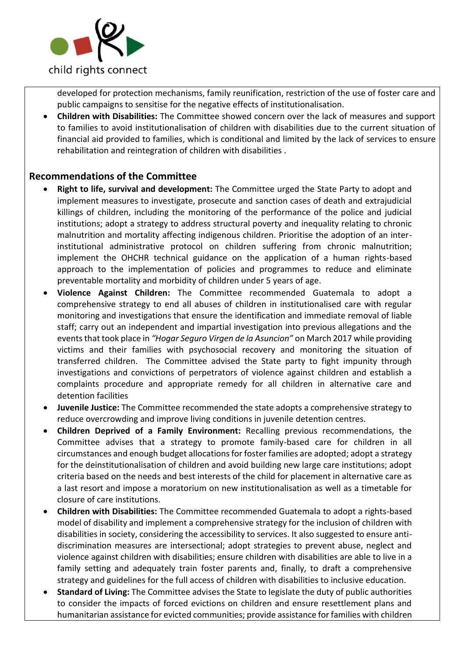

developed for protection mechanisms, family reunification, restriction of the use of foster care and public campaigns to sensitise for the negative effects of institutionalisation.

• **Children with Disabilities:** The Committee showed concern over the lack of measures and support to families to avoid institutionalisation of children with disabilities due to the current situation of financial aid provided to families, which is conditional and limited by the lack of services to ensure rehabilitation and reintegration of children with disabilities .

# **Recommendations of the Committee**

- **Right to life, survival and development:** The Committee urged the State Party to adopt and implement measures to investigate, prosecute and sanction cases of death and extrajudicial killings of children, including the monitoring of the performance of the police and judicial institutions; adopt a strategy to address structural poverty and inequality relating to chronic malnutrition and mortality affecting indigenous children. Prioritise the adoption of an interinstitutional administrative protocol on children suffering from chronic malnutrition; implement the OHCHR technical guidance on the application of a human rights-based approach to the implementation of policies and programmes to reduce and eliminate preventable mortality and morbidity of children under 5 years of age.
- **Violence Against Children:** The Committee recommended Guatemala to adopt a comprehensive strategy to end all abuses of children in institutionalised care with regular monitoring and investigations that ensure the identification and immediate removal of liable staff; carry out an independent and impartial investigation into previous allegations and the events that took place in *"Hogar Seguro Virgen de la Asuncion"* on March 2017 while providing victims and their families with psychosocial recovery and monitoring the situation of transferred children. The Committee advised the State party to fight impunity through investigations and convictions of perpetrators of violence against children and establish a complaints procedure and appropriate remedy for all children in alternative care and detention facilities
- **Juvenile Justice:** The Committee recommended the state adopts a comprehensive strategy to reduce overcrowding and improve living conditions in juvenile detention centres.
- **Children Deprived of a Family Environment:** Recalling previous recommendations, the Committee advises that a strategy to promote family-based care for children in all circumstances and enough budget allocations for foster families are adopted; adopt a strategy for the deinstitutionalisation of children and avoid building new large care institutions; adopt criteria based on the needs and best interests of the child for placement in alternative care as a last resort and impose a moratorium on new institutionalisation as well as a timetable for closure of care institutions.
- **Children with Disabilities:** The Committee recommended Guatemala to adopt a rights-based model of disability and implement a comprehensive strategy for the inclusion of children with disabilities in society, considering the accessibility to services. It also suggested to ensure antidiscrimination measures are intersectional; adopt strategies to prevent abuse, neglect and violence against children with disabilities; ensure children with disabilities are able to live in a family setting and adequately train foster parents and, finally, to draft a comprehensive strategy and guidelines for the full access of children with disabilities to inclusive education.
- **Standard of Living:** The Committee advises the State to legislate the duty of public authorities to consider the impacts of forced evictions on children and ensure resettlement plans and humanitarian assistance for evicted communities; provide assistance for families with children